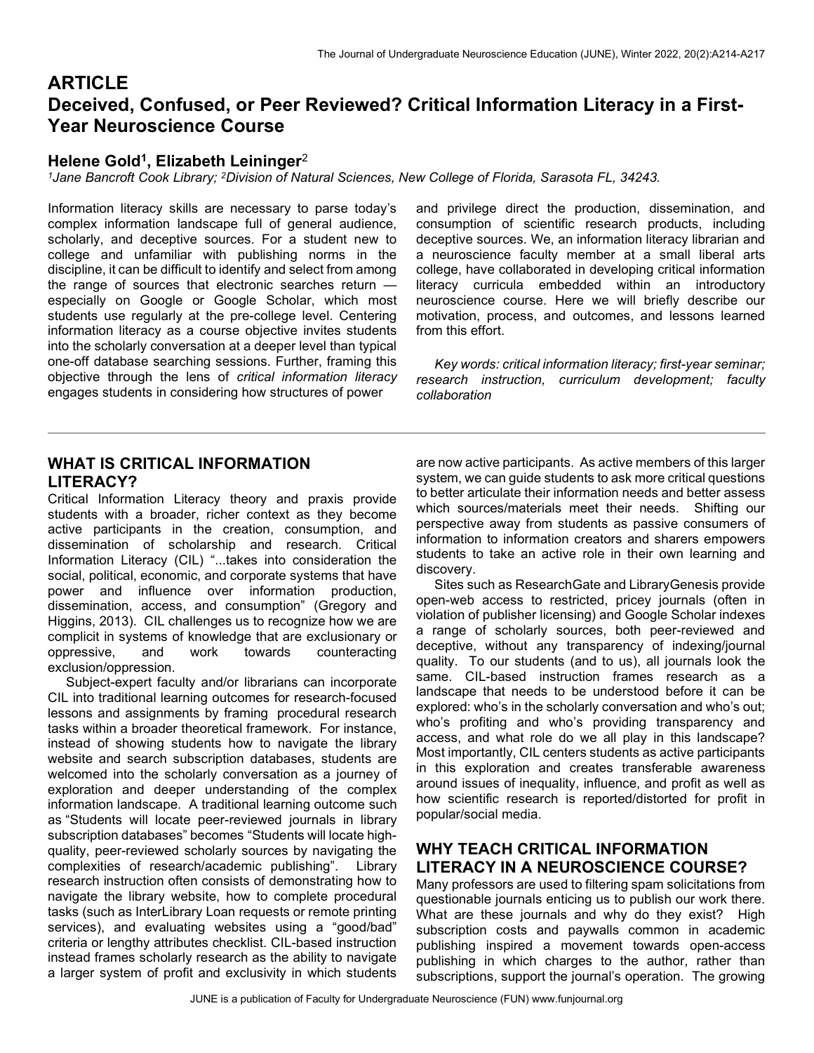# **ARTICLE** Deceived, Confused, or Peer Reviewed? Critical Information Literacy in a First-Year Neuroscience Course

### Helene Gold<sup>1</sup>, Elizabeth Leininger<sup>2</sup>

<sup>1</sup>Jane Bancroft Cook Library; <sup>2</sup>Division of Natural Sciences, New College of Florida, Sarasota FL, 34243.

Information literacy skills are necessary to parse today's complex information landscape full of general audience, scholarly, and deceptive sources. For a student new to college and unfamiliar with publishing norms in the discipline, it can be difficult to identify and select from among the range of sources that electronic searches return especially on Google or Google Scholar, which most students use regularly at the pre-college level. Centering information literacy as a course objective invites students into the scholarly conversation at a deeper level than typical one-off database searching sessions. Further, framing this objective through the lens of critical information literacy engages students in considering how structures of power

and privilege direct the production, dissemination, and consumption of scientific research products, including deceptive sources. We, an information literacy librarian and a neuroscience faculty member at a small liberal arts college, have collaborated in developing critical information literacy curricula embedded within an introductory neuroscience course. Here we will briefly describe our motivation, process, and outcomes, and lessons learned from this effort.

 Key words: critical information literacy; first-year seminar; research instruction, curriculum development; faculty collaboration

## WHAT IS CRITICAL INFORMATION LITERACY?

Critical Information Literacy theory and praxis provide students with a broader, richer context as they become active participants in the creation, consumption, and dissemination of scholarship and research. Critical Information Literacy (CIL) "...takes into consideration the social, political, economic, and corporate systems that have power and influence over information production, dissemination, access, and consumption" (Gregory and Higgins, 2013). CIL challenges us to recognize how we are complicit in systems of knowledge that are exclusionary or oppressive, and work towards counteracting exclusion/oppression.

 Subject-expert faculty and/or librarians can incorporate CIL into traditional learning outcomes for research-focused lessons and assignments by framing procedural research tasks within a broader theoretical framework. For instance, instead of showing students how to navigate the library website and search subscription databases, students are welcomed into the scholarly conversation as a journey of exploration and deeper understanding of the complex information landscape. A traditional learning outcome such as "Students will locate peer-reviewed journals in library subscription databases" becomes "Students will locate highquality, peer-reviewed scholarly sources by navigating the complexities of research/academic publishing". Library research instruction often consists of demonstrating how to navigate the library website, how to complete procedural tasks (such as InterLibrary Loan requests or remote printing services), and evaluating websites using a "good/bad" criteria or lengthy attributes checklist. CIL-based instruction instead frames scholarly research as the ability to navigate a larger system of profit and exclusivity in which students

are now active participants. As active members of this larger system, we can guide students to ask more critical questions to better articulate their information needs and better assess which sources/materials meet their needs. Shifting our perspective away from students as passive consumers of information to information creators and sharers empowers students to take an active role in their own learning and discovery.

 Sites such as ResearchGate and LibraryGenesis provide open-web access to restricted, pricey journals (often in violation of publisher licensing) and Google Scholar indexes a range of scholarly sources, both peer-reviewed and deceptive, without any transparency of indexing/journal quality. To our students (and to us), all journals look the same. CIL-based instruction frames research as a landscape that needs to be understood before it can be explored: who's in the scholarly conversation and who's out; who's profiting and who's providing transparency and access, and what role do we all play in this landscape? Most importantly, CIL centers students as active participants in this exploration and creates transferable awareness around issues of inequality, influence, and profit as well as how scientific research is reported/distorted for profit in popular/social media.

## WHY TEACH CRITICAL INFORMATION LITERACY IN A NEUROSCIENCE COURSE?

Many professors are used to filtering spam solicitations from questionable journals enticing us to publish our work there. What are these journals and why do they exist? High subscription costs and paywalls common in academic publishing inspired a movement towards open-access publishing in which charges to the author, rather than subscriptions, support the journal's operation. The growing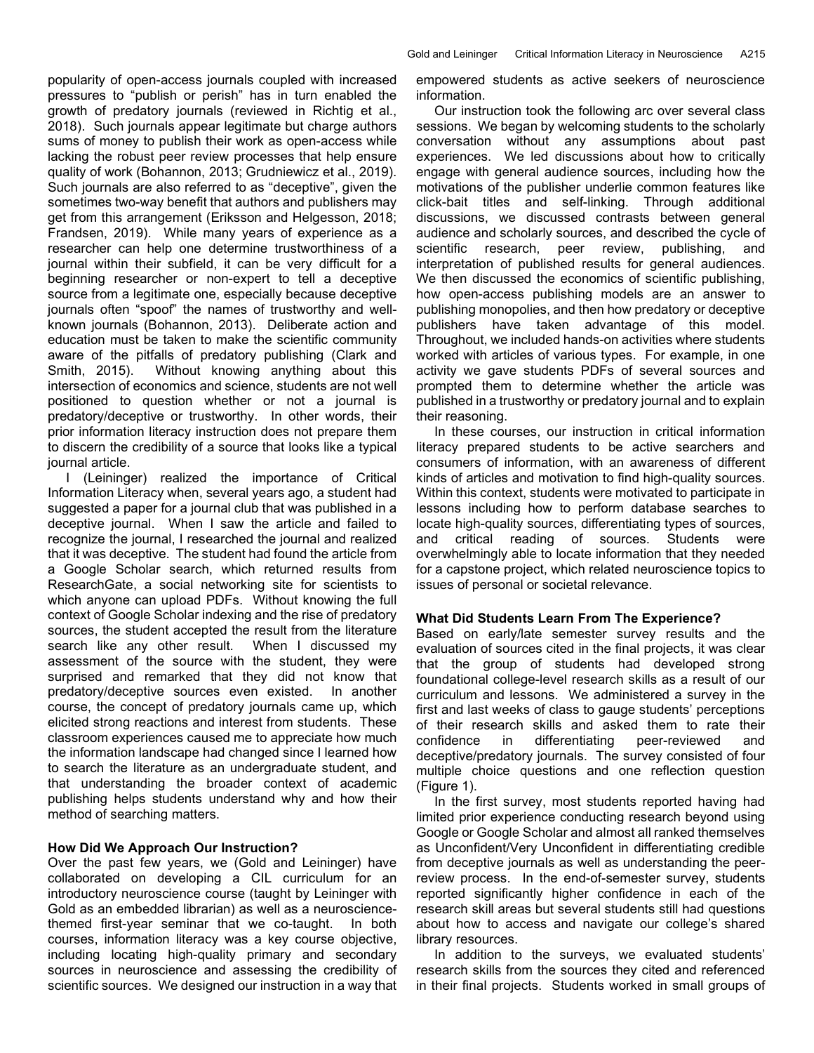popularity of open-access journals coupled with increased pressures to "publish or perish" has in turn enabled the growth of predatory journals (reviewed in Richtig et al., 2018). Such journals appear legitimate but charge authors sums of money to publish their work as open-access while lacking the robust peer review processes that help ensure quality of work (Bohannon, 2013; Grudniewicz et al., 2019). Such journals are also referred to as "deceptive", given the sometimes two-way benefit that authors and publishers may get from this arrangement (Eriksson and Helgesson, 2018; Frandsen, 2019). While many years of experience as a researcher can help one determine trustworthiness of a journal within their subfield, it can be very difficult for a beginning researcher or non-expert to tell a deceptive source from a legitimate one, especially because deceptive journals often "spoof" the names of trustworthy and wellknown journals (Bohannon, 2013). Deliberate action and education must be taken to make the scientific community aware of the pitfalls of predatory publishing (Clark and Smith, 2015). Without knowing anything about this intersection of economics and science, students are not well positioned to question whether or not a journal is predatory/deceptive or trustworthy. In other words, their prior information literacy instruction does not prepare them to discern the credibility of a source that looks like a typical journal article.

 I (Leininger) realized the importance of Critical Information Literacy when, several years ago, a student had suggested a paper for a journal club that was published in a deceptive journal. When I saw the article and failed to recognize the journal, I researched the journal and realized that it was deceptive. The student had found the article from a Google Scholar search, which returned results from ResearchGate, a social networking site for scientists to which anyone can upload PDFs. Without knowing the full context of Google Scholar indexing and the rise of predatory sources, the student accepted the result from the literature search like any other result. When I discussed my assessment of the source with the student, they were surprised and remarked that they did not know that predatory/deceptive sources even existed. In another course, the concept of predatory journals came up, which elicited strong reactions and interest from students. These classroom experiences caused me to appreciate how much the information landscape had changed since I learned how to search the literature as an undergraduate student, and that understanding the broader context of academic publishing helps students understand why and how their method of searching matters.

#### How Did We Approach Our Instruction?

Over the past few years, we (Gold and Leininger) have collaborated on developing a CIL curriculum for an introductory neuroscience course (taught by Leininger with Gold as an embedded librarian) as well as a neurosciencethemed first-year seminar that we co-taught. In both courses, information literacy was a key course objective, including locating high-quality primary and secondary sources in neuroscience and assessing the credibility of scientific sources. We designed our instruction in a way that empowered students as active seekers of neuroscience information.

 Our instruction took the following arc over several class sessions. We began by welcoming students to the scholarly conversation without any assumptions about past experiences. We led discussions about how to critically engage with general audience sources, including how the motivations of the publisher underlie common features like click-bait titles and self-linking. Through additional discussions, we discussed contrasts between general audience and scholarly sources, and described the cycle of scientific research, peer review, publishing, and interpretation of published results for general audiences. We then discussed the economics of scientific publishing, how open-access publishing models are an answer to publishing monopolies, and then how predatory or deceptive publishers have taken advantage of this model. Throughout, we included hands-on activities where students worked with articles of various types. For example, in one activity we gave students PDFs of several sources and prompted them to determine whether the article was published in a trustworthy or predatory journal and to explain their reasoning.

 In these courses, our instruction in critical information literacy prepared students to be active searchers and consumers of information, with an awareness of different kinds of articles and motivation to find high-quality sources. Within this context, students were motivated to participate in lessons including how to perform database searches to locate high-quality sources, differentiating types of sources, and critical reading of sources. Students were overwhelmingly able to locate information that they needed for a capstone project, which related neuroscience topics to issues of personal or societal relevance.

#### What Did Students Learn From The Experience?

Based on early/late semester survey results and the evaluation of sources cited in the final projects, it was clear that the group of students had developed strong foundational college-level research skills as a result of our curriculum and lessons. We administered a survey in the first and last weeks of class to gauge students' perceptions of their research skills and asked them to rate their confidence in differentiating peer-reviewed and deceptive/predatory journals. The survey consisted of four multiple choice questions and one reflection question (Figure 1).

 In the first survey, most students reported having had limited prior experience conducting research beyond using Google or Google Scholar and almost all ranked themselves as Unconfident/Very Unconfident in differentiating credible from deceptive journals as well as understanding the peerreview process. In the end-of-semester survey, students reported significantly higher confidence in each of the research skill areas but several students still had questions about how to access and navigate our college's shared library resources.

 In addition to the surveys, we evaluated students' research skills from the sources they cited and referenced in their final projects. Students worked in small groups of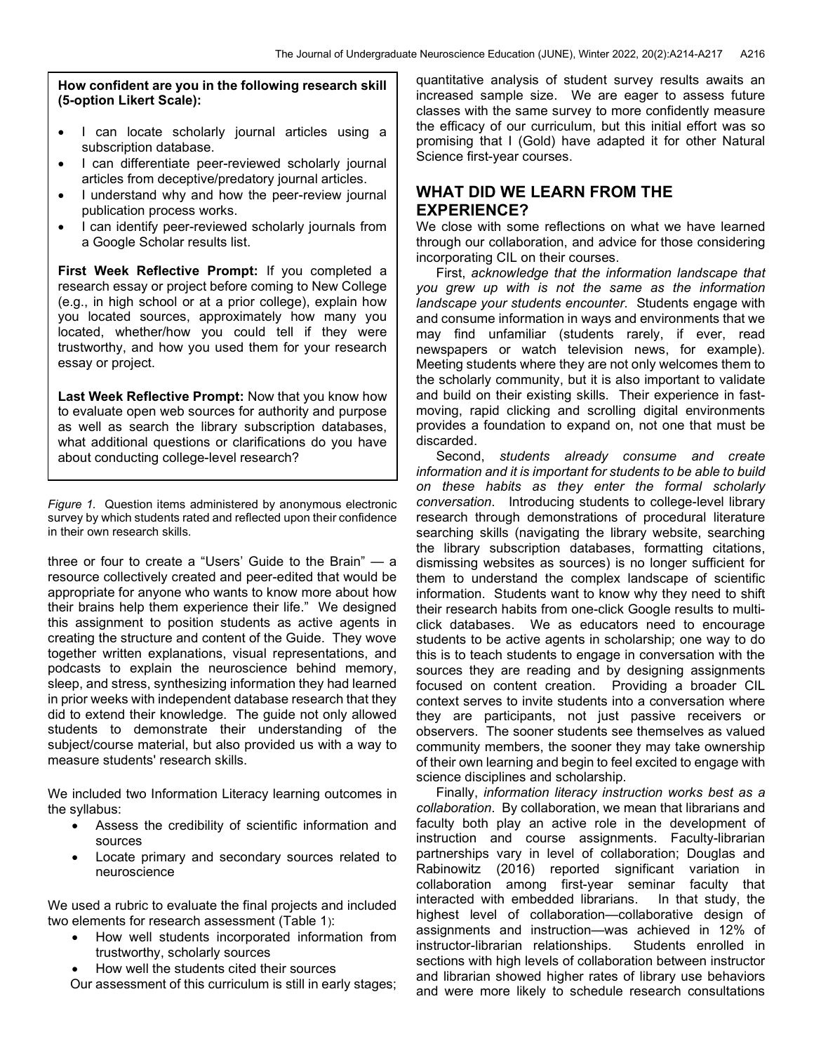How confident are you in the following research skill (5-option Likert Scale):

- I can locate scholarly journal articles using a subscription database.
- I can differentiate peer-reviewed scholarly journal articles from deceptive/predatory journal articles.
- I understand why and how the peer-review journal publication process works.
- I can identify peer-reviewed scholarly journals from a Google Scholar results list.

First Week Reflective Prompt: If you completed a research essay or project before coming to New College (e.g., in high school or at a prior college), explain how you located sources, approximately how many you located, whether/how you could tell if they were trustworthy, and how you used them for your research essay or project.

Last Week Reflective Prompt: Now that you know how to evaluate open web sources for authority and purpose as well as search the library subscription databases, what additional questions or clarifications do you have about conducting college-level research?

Figure 1. Question items administered by anonymous electronic survey by which students rated and reflected upon their confidence in their own research skills.

three or four to create a "Users' Guide to the Brain" — a resource collectively created and peer-edited that would be appropriate for anyone who wants to know more about how their brains help them experience their life." We designed this assignment to position students as active agents in creating the structure and content of the Guide. They wove together written explanations, visual representations, and podcasts to explain the neuroscience behind memory, sleep, and stress, synthesizing information they had learned in prior weeks with independent database research that they did to extend their knowledge. The guide not only allowed students to demonstrate their understanding of the subject/course material, but also provided us with a way to measure students' research skills.

We included two Information Literacy learning outcomes in the syllabus:

- Assess the credibility of scientific information and sources
- Locate primary and secondary sources related to neuroscience

We used a rubric to evaluate the final projects and included two elements for research assessment (Table 1):

- How well students incorporated information from trustworthy, scholarly sources
- How well the students cited their sources

Our assessment of this curriculum is still in early stages;

quantitative analysis of student survey results awaits an increased sample size. We are eager to assess future classes with the same survey to more confidently measure the efficacy of our curriculum, but this initial effort was so promising that I (Gold) have adapted it for other Natural Science first-year courses.

## WHAT DID WE LEARN FROM THE EXPERIENCE?

We close with some reflections on what we have learned through our collaboration, and advice for those considering incorporating CIL on their courses.

 First, acknowledge that the information landscape that you grew up with is not the same as the information landscape your students encounter. Students engage with and consume information in ways and environments that we may find unfamiliar (students rarely, if ever, read newspapers or watch television news, for example). Meeting students where they are not only welcomes them to the scholarly community, but it is also important to validate and build on their existing skills. Their experience in fastmoving, rapid clicking and scrolling digital environments provides a foundation to expand on, not one that must be discarded.

Second, students already consume and create information and it is important for students to be able to build on these habits as they enter the formal scholarly conversation. Introducing students to college-level library research through demonstrations of procedural literature searching skills (navigating the library website, searching the library subscription databases, formatting citations, dismissing websites as sources) is no longer sufficient for them to understand the complex landscape of scientific information. Students want to know why they need to shift their research habits from one-click Google results to multiclick databases. We as educators need to encourage students to be active agents in scholarship; one way to do this is to teach students to engage in conversation with the sources they are reading and by designing assignments focused on content creation. Providing a broader CIL context serves to invite students into a conversation where they are participants, not just passive receivers or observers. The sooner students see themselves as valued community members, the sooner they may take ownership of their own learning and begin to feel excited to engage with science disciplines and scholarship.

 Finally, information literacy instruction works best as a collaboration. By collaboration, we mean that librarians and faculty both play an active role in the development of instruction and course assignments. Faculty-librarian partnerships vary in level of collaboration; Douglas and Rabinowitz (2016) reported significant variation in collaboration among first-year seminar faculty that interacted with embedded librarians. In that study, the highest level of collaboration—collaborative design of assignments and instruction—was achieved in 12% of instructor-librarian relationships. Students enrolled in sections with high levels of collaboration between instructor and librarian showed higher rates of library use behaviors and were more likely to schedule research consultations